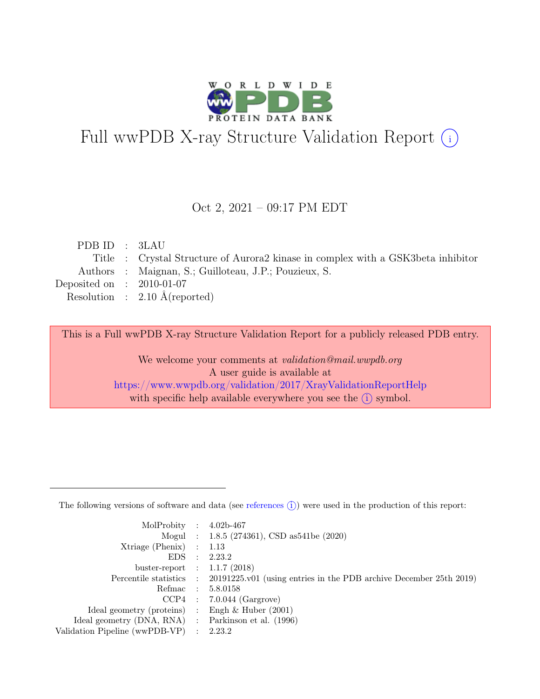

# Full wwPDB X-ray Structure Validation Report  $(i)$

#### Oct 2, 2021 – 09:17 PM EDT

| PDB ID : 3LAU               |                                                                                  |
|-----------------------------|----------------------------------------------------------------------------------|
|                             | Title : Crystal Structure of Aurora2 kinase in complex with a GSK3beta inhibitor |
|                             | Authors : Maignan, S.; Guilloteau, J.P.; Pouzieux, S.                            |
| Deposited on : $2010-01-07$ |                                                                                  |
|                             | Resolution : $2.10 \text{ Å}$ (reported)                                         |
|                             |                                                                                  |

This is a Full wwPDB X-ray Structure Validation Report for a publicly released PDB entry.

We welcome your comments at validation@mail.wwpdb.org A user guide is available at <https://www.wwpdb.org/validation/2017/XrayValidationReportHelp> with specific help available everywhere you see the  $(i)$  symbol.

The following versions of software and data (see [references](https://www.wwpdb.org/validation/2017/XrayValidationReportHelp#references)  $(i)$ ) were used in the production of this report:

| MolProbity : $4.02b-467$                            |                                                                                            |
|-----------------------------------------------------|--------------------------------------------------------------------------------------------|
|                                                     | Mogul : $1.8.5$ (274361), CSD as 541be (2020)                                              |
| $Xtriangle (Phenix)$ : 1.13                         |                                                                                            |
|                                                     | EDS : 2.23.2                                                                               |
| buster-report : $1.1.7$ (2018)                      |                                                                                            |
|                                                     | Percentile statistics : 20191225.v01 (using entries in the PDB archive December 25th 2019) |
|                                                     | Refmac : 5.8.0158                                                                          |
|                                                     | $CCP4$ : 7.0.044 (Gargrove)                                                                |
| Ideal geometry (proteins) : Engh $\&$ Huber (2001)  |                                                                                            |
| Ideal geometry (DNA, RNA) : Parkinson et al. (1996) |                                                                                            |
| Validation Pipeline (wwPDB-VP) : 2.23.2             |                                                                                            |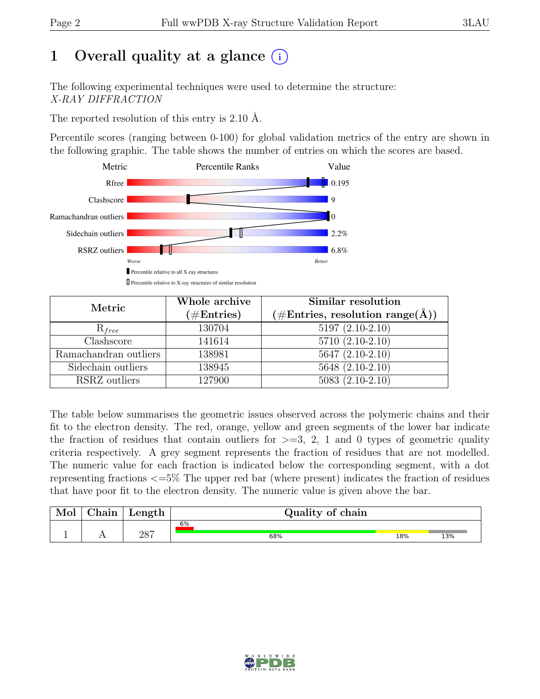# 1 Overall quality at a glance  $(i)$

The following experimental techniques were used to determine the structure: X-RAY DIFFRACTION

The reported resolution of this entry is 2.10 Å.

Percentile scores (ranging between 0-100) for global validation metrics of the entry are shown in the following graphic. The table shows the number of entries on which the scores are based.



| Metric                | Whole archive<br>$(\#Entries)$ | Similar resolution<br>$(\# \text{Entries}, \text{ resolution } \text{range}(\AA))$ |  |  |
|-----------------------|--------------------------------|------------------------------------------------------------------------------------|--|--|
| $R_{free}$            | 130704                         | $5197(2.10-2.10)$                                                                  |  |  |
| Clashscore            | 141614                         | $5710(2.10-2.10)$                                                                  |  |  |
| Ramachandran outliers | 138981                         | $5647 (2.10-2.10)$                                                                 |  |  |
| Sidechain outliers    | 138945                         | 5648 (2.10-2.10)                                                                   |  |  |
| RSRZ outliers         | 127900                         | $5083(2.10-2.10)$                                                                  |  |  |

The table below summarises the geometric issues observed across the polymeric chains and their fit to the electron density. The red, orange, yellow and green segments of the lower bar indicate the fraction of residues that contain outliers for  $\geq$ =3, 2, 1 and 0 types of geometric quality criteria respectively. A grey segment represents the fraction of residues that are not modelled. The numeric value for each fraction is indicated below the corresponding segment, with a dot representing fractions <=5% The upper red bar (where present) indicates the fraction of residues that have poor fit to the electron density. The numeric value is given above the bar.

| Mol | $\gamma$ hain | ${\rm Length}$ | Quality of chain |     |     |
|-----|---------------|----------------|------------------|-----|-----|
|     |               | רסר            | 6%               |     |     |
|     |               | ∠∪⊣            | 68%              | 18% | 13% |

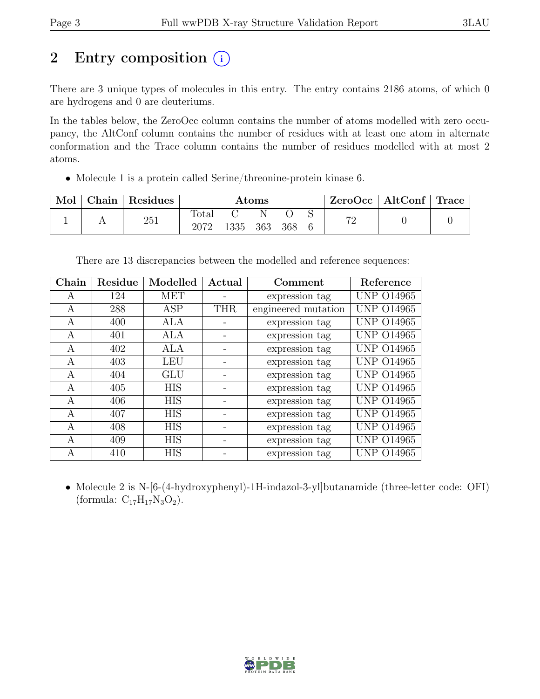# 2 Entry composition  $(i)$

There are 3 unique types of molecules in this entry. The entry contains 2186 atoms, of which 0 are hydrogens and 0 are deuteriums.

In the tables below, the ZeroOcc column contains the number of atoms modelled with zero occupancy, the AltConf column contains the number of residues with at least one atom in alternate conformation and the Trace column contains the number of residues modelled with at most 2 atoms.

• Molecule 1 is a protein called Serine/threonine-protein kinase 6.

| Mol | ${\rm Chain}$ | <sup>'</sup> Residues | $\rm{Atoms}$           |      |     |     | ZeroOcc | $\vert$ AltConf $\vert$ Trace |  |  |
|-----|---------------|-----------------------|------------------------|------|-----|-----|---------|-------------------------------|--|--|
|     |               | 251                   | $\text{Total}$<br>2072 | 1335 | 363 | 368 |         | 70                            |  |  |

There are 13 discrepancies between the modelled and reference sequences:

| Chain | Residue | Modelled   | Actual     | Comment             | Reference         |
|-------|---------|------------|------------|---------------------|-------------------|
| A     | 124     | <b>MET</b> |            | expression tag      | <b>UNP 014965</b> |
| A     | 288     | ASP        | <b>THR</b> | engineered mutation | <b>UNP 014965</b> |
| A     | 400     | ALA        |            | expression tag      | <b>UNP 014965</b> |
| A     | 401     | ALA        |            | expression tag      | <b>UNP 014965</b> |
| A     | 402     | ALA        |            | expression tag      | <b>UNP 014965</b> |
| А     | 403     | <b>LEU</b> |            | expression tag      | <b>UNP 014965</b> |
| A     | 404     | GLU        |            | expression tag      | <b>UNP 014965</b> |
| A     | 405     | <b>HIS</b> |            | expression tag      | <b>UNP 014965</b> |
| A     | 406     | <b>HIS</b> |            | expression tag      | <b>UNP 014965</b> |
| A     | 407     | <b>HIS</b> |            | expression tag      | <b>UNP 014965</b> |
| A     | 408     | <b>HIS</b> |            | expression tag      | <b>UNP 014965</b> |
| A     | 409     | <b>HIS</b> |            | expression tag      | <b>UNP 014965</b> |
| A     | 410     | <b>HIS</b> |            | expression tag      | <b>UNP 014965</b> |

• Molecule 2 is N-[6-(4-hydroxyphenyl)-1H-indazol-3-yl]butanamide (three-letter code: OFI) (formula:  $C_{17}H_{17}N_3O_2$ ).

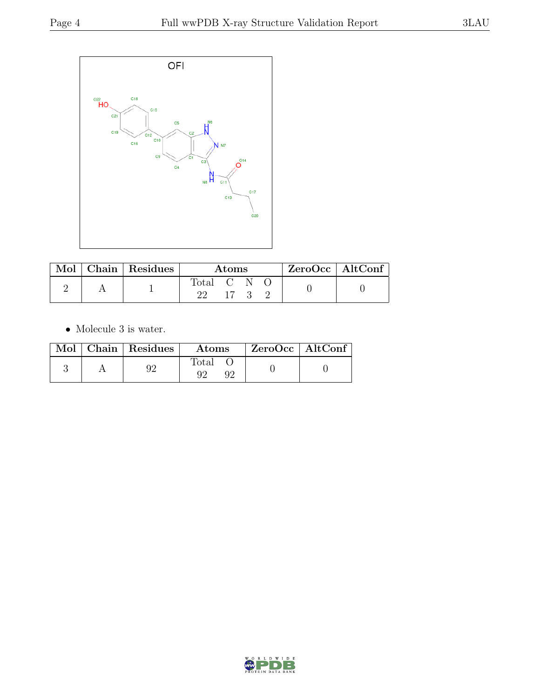

|  | Mol   Chain   Residues | Atoms     |  |  |  | $ZeroOcc \mid AltConf \mid$ |
|--|------------------------|-----------|--|--|--|-----------------------------|
|  |                        | Total C N |  |  |  |                             |

 $\bullet\,$  Molecule 3 is water.

|  | Mol   Chain   Residues | Atoms                 | $ZeroOcc$   AltConf |
|--|------------------------|-----------------------|---------------------|
|  | QΩ                     | $_{\rm Total}$<br>Û۴. |                     |

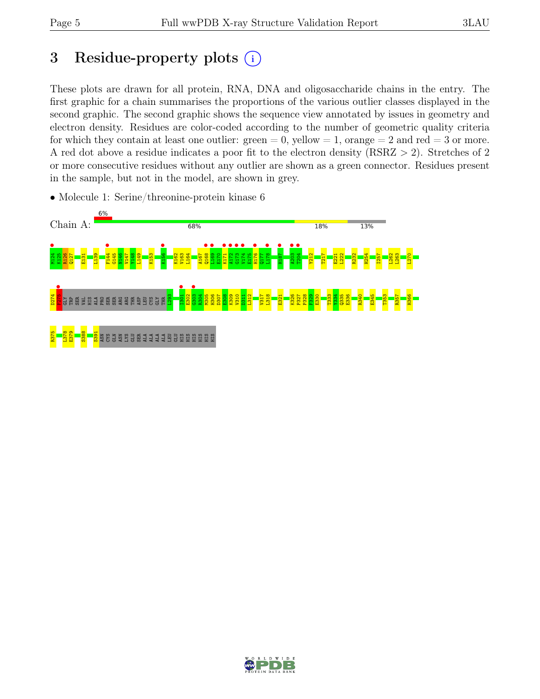# 3 Residue-property plots  $(i)$

These plots are drawn for all protein, RNA, DNA and oligosaccharide chains in the entry. The first graphic for a chain summarises the proportions of the various outlier classes displayed in the second graphic. The second graphic shows the sequence view annotated by issues in geometry and electron density. Residues are color-coded according to the number of geometric quality criteria for which they contain at least one outlier:  $green = 0$ , yellow  $= 1$ , orange  $= 2$  and red  $= 3$  or more. A red dot above a residue indicates a poor fit to the electron density (RSRZ > 2). Stretches of 2 or more consecutive residues without any outlier are shown as a green connector. Residues present in the sample, but not in the model, are shown in grey.



• Molecule 1: Serine/threonine-protein kinase 6

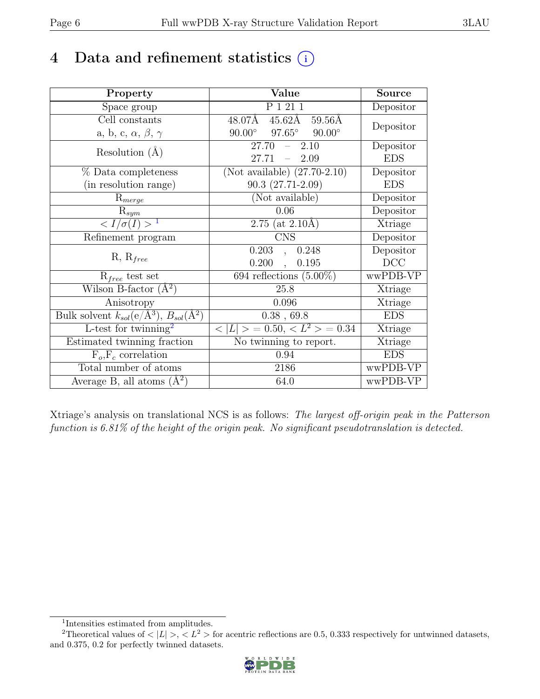# 4 Data and refinement statistics  $(i)$

| Property                                                         | Value                                            | <b>Source</b> |
|------------------------------------------------------------------|--------------------------------------------------|---------------|
| Space group                                                      | P 1 21 1                                         | Depositor     |
| Cell constants                                                   | $45.62\text{\AA}$<br>48.07Å<br>$59.56\text{\AA}$ | Depositor     |
| a, b, c, $\alpha$ , $\beta$ , $\gamma$                           | $97.65^\circ$<br>$90.00^\circ$<br>$90.00^\circ$  |               |
| Resolution $(A)$                                                 | 27.70<br>$-2.10$                                 | Depositor     |
|                                                                  | 27.71<br>$-2.09$                                 | <b>EDS</b>    |
| % Data completeness                                              | (Not available) $(27.70-2.10)$                   | Depositor     |
| (in resolution range)                                            | $90.3(27.71-2.09)$                               | <b>EDS</b>    |
| $R_{merge}$                                                      | (Not available)                                  | Depositor     |
| $\mathrm{R}_{sym}$                                               | 0.06                                             | Depositor     |
| $\langle I/\sigma(I) \rangle^{-1}$                               | $2.75$ (at $2.10\text{\AA}$ )                    | Xtriage       |
| Refinement program                                               | <b>CNS</b>                                       | Depositor     |
|                                                                  | 0.203<br>0.248<br>$\overline{a}$                 | Depositor     |
| $R, R_{free}$                                                    | 0.200<br>0.195<br>$\overline{a}$                 | DCC           |
| $R_{free}$ test set                                              | $694$ reflections $(5.00\%)$                     | wwPDB-VP      |
| Wilson B-factor $(A^2)$                                          | 25.8                                             | Xtriage       |
| Anisotropy                                                       | 0.096                                            | Xtriage       |
| Bulk solvent $k_{sol}(\text{e}/\text{A}^3), B_{sol}(\text{A}^2)$ | 0.38, 69.8                                       | <b>EDS</b>    |
| L-test for twinning <sup>2</sup>                                 | $< L >$ = 0.50, $< L^2 >$ = 0.34                 | Xtriage       |
| Estimated twinning fraction                                      | No twinning to report.                           | Xtriage       |
| $F_o, F_c$ correlation                                           | 0.94                                             | <b>EDS</b>    |
| Total number of atoms                                            | 2186                                             | wwPDB-VP      |
| Average B, all atoms $(A^2)$                                     | 64.0                                             | wwPDB-VP      |

Xtriage's analysis on translational NCS is as follows: The largest off-origin peak in the Patterson function is 6.81% of the height of the origin peak. No significant pseudotranslation is detected.

<sup>&</sup>lt;sup>2</sup>Theoretical values of  $\langle |L| \rangle$ ,  $\langle L^2 \rangle$  for acentric reflections are 0.5, 0.333 respectively for untwinned datasets, and 0.375, 0.2 for perfectly twinned datasets.



<span id="page-5-1"></span><span id="page-5-0"></span><sup>1</sup> Intensities estimated from amplitudes.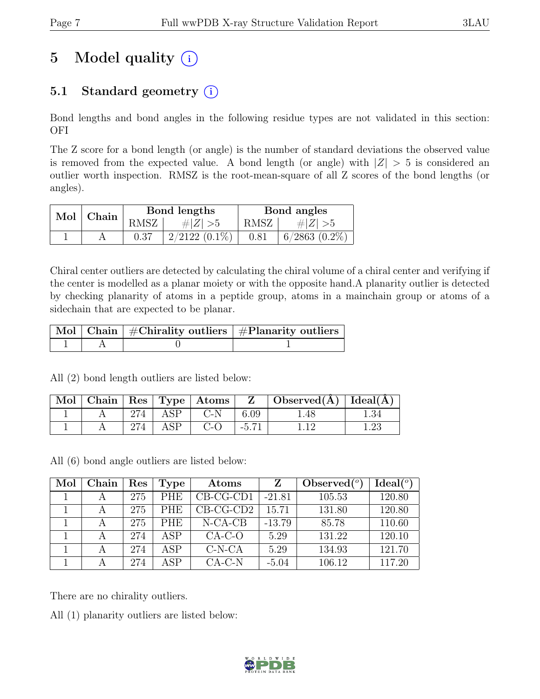# 5 Model quality  $(i)$

# 5.1 Standard geometry  $(i)$

Bond lengths and bond angles in the following residue types are not validated in this section: OFI

The Z score for a bond length (or angle) is the number of standard deviations the observed value is removed from the expected value. A bond length (or angle) with  $|Z| > 5$  is considered an outlier worth inspection. RMSZ is the root-mean-square of all Z scores of the bond lengths (or angles).

| Mol   Chain |      | Bond lengths    | Bond angles |                    |  |
|-------------|------|-----------------|-------------|--------------------|--|
|             | RMSZ | # $ Z  > 5$     | RMSZ        | # $ Z  > 5$        |  |
|             | 0.37 | $2/2122(0.1\%)$ | 0.81        | $6/2863$ $(0.2\%)$ |  |

Chiral center outliers are detected by calculating the chiral volume of a chiral center and verifying if the center is modelled as a planar moiety or with the opposite hand.A planarity outlier is detected by checking planarity of atoms in a peptide group, atoms in a mainchain group or atoms of a sidechain that are expected to be planar.

|  | $\lceil\,\overline{\text{Mol}}\,\rceil$ Chain $\mid\,\#\text{Chirality outliers}\mid\#\text{Planarity outliers}\mid$ |
|--|----------------------------------------------------------------------------------------------------------------------|
|  |                                                                                                                      |

All (2) bond length outliers are listed below:

| Mol |     |     | Chain   Res   Type   Atoms | $\mathbf{Z}$   | Observed( $\AA$ )   Ideal( $\AA$ ) |  |
|-----|-----|-----|----------------------------|----------------|------------------------------------|--|
|     | 274 | ASP | $C-N$                      | 6.09           | 1.48                               |  |
|     |     | ASP |                            | $-5.7^{\circ}$ |                                    |  |

All (6) bond angle outliers are listed below:

| Mol | Chain | Res | <b>Type</b> | Atoms       | Z        | Observed $(°)$ | Ideal <sup>(o)</sup> |
|-----|-------|-----|-------------|-------------|----------|----------------|----------------------|
|     | А     | 275 | <b>PHE</b>  | $CB-CG-CD1$ | $-21.81$ | 105.53         | 120.80               |
|     | A     | 275 | <b>PHE</b>  | $CB-CG-CD2$ | 15.71    | 131.80         | 120.80               |
|     |       | 275 | <b>PHE</b>  | $N-CA-CB$   | $-13.79$ | 85.78          | 110.60               |
|     |       | 274 | ASP         | $CA-C-O$    | 5.29     | 131.22         | 120.10               |
|     | А     | 274 | ASP         | $C-N-CA$    | 5.29     | 134.93         | 121.70               |
|     |       | 274 | ASP         | $CA-C-N$    | $-5.04$  | 106.12         | 117.20               |

There are no chirality outliers.

All (1) planarity outliers are listed below:

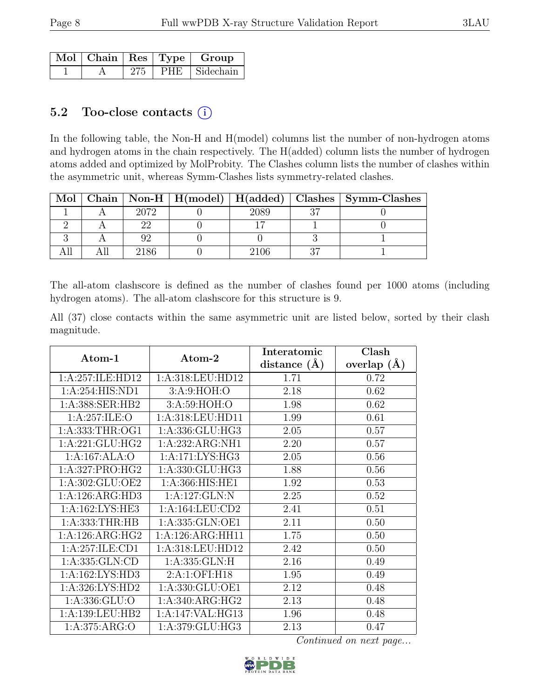|  |     | $\sqrt{\text{Mol}}$   Chain   Res   Type   Group |
|--|-----|--------------------------------------------------|
|  | 275 | $ $ PHE $ $ Sidechain $ $                        |

### 5.2 Too-close contacts  $(i)$

In the following table, the Non-H and H(model) columns list the number of non-hydrogen atoms and hydrogen atoms in the chain respectively. The H(added) column lists the number of hydrogen atoms added and optimized by MolProbity. The Clashes column lists the number of clashes within the asymmetric unit, whereas Symm-Clashes lists symmetry-related clashes.

|  |      |      |    | Mol   Chain   Non-H   H(model)   H(added)   Clashes   Symm-Clashes |
|--|------|------|----|--------------------------------------------------------------------|
|  | 2072 | 2089 | າສ |                                                                    |
|  | ററ   |      |    |                                                                    |
|  |      |      |    |                                                                    |
|  | 2186 | 2106 |    |                                                                    |

The all-atom clashscore is defined as the number of clashes found per 1000 atoms (including hydrogen atoms). The all-atom clashscore for this structure is 9.

All (37) close contacts within the same asymmetric unit are listed below, sorted by their clash magnitude.

|                     |                     | Interatomic    | Clash         |
|---------------------|---------------------|----------------|---------------|
| Atom-1              | Atom-2              | distance $(A)$ | overlap $(A)$ |
| 1:A:257:ILE:HD12    | 1: A:318: LEU: HD12 | 1.71           | 0.72          |
| 1:A:254:HIS:ND1     | 3:A:9:HOH:O         | 2.18           | 0.62          |
| 1:A:388:SER:HB2     | 3:A:59:HOH:O        | 1.98           | 0.62          |
| 1: A:257: ILE: O    | 1:A:318:LEU:HD11    | 1.99           | 0.61          |
| 1: A: 333: THR: OG1 | 1:A:336:GLU:HG3     | 2.05           | 0.57          |
| 1:A:221:GLU:HG2     | 1:A:232:ARG:NH1     | 2.20           | 0.57          |
| 1:A:167:ALA:O       | 1:A:171:LYS:HG3     | 2.05           | 0.56          |
| 1:A:327:PRO:HG2     | 1:A:330:GLU:HG3     | 1.88           | 0.56          |
| 1:A:302:GLU:OE2     | 1: A: 366: HIS: HE1 | 1.92           | 0.53          |
| 1:A:126:ARG:HD3     | 1:A:127:GLN:N       | 2.25           | 0.52          |
| 1: A: 162: LYS: HE3 | 1: A: 164: LEU: CD2 | 2.41           | 0.51          |
| 1: A: 333: THR: HB  | 1:A:335:GLN:OE1     | 2.11           | 0.50          |
| 1:A:126:ARG:HG2     | 1:A:126:ARG:HH11    | 1.75           | 0.50          |
| 1:A:257:ILE:CD1     | 1:A:318:LEU:HD12    | 2.42           | 0.50          |
| 1:A:335:GLN:CD      | 1:A:335:GLN:H       | 2.16           | 0.49          |
| 1:A:162:LYS:HD3     | 2:A:1:OFI:H18       | 1.95           | 0.49          |
| 1:A:326:LYS:HD2     | 1:A:330:GLU:OE1     | 2.12           | 0.48          |
| 1: A: 336: GLU:O    | 1:A:340:ARG:HG2     | 2.13           | 0.48          |
| 1: A: 139: LEU: HB2 | 1:A:147:VAL:HG13    | 1.96           | 0.48          |
| 1: A:375: ARG:O     | 1:A:379:GLU:HG3     | 2.13           | 0.47          |

Continued on next page...

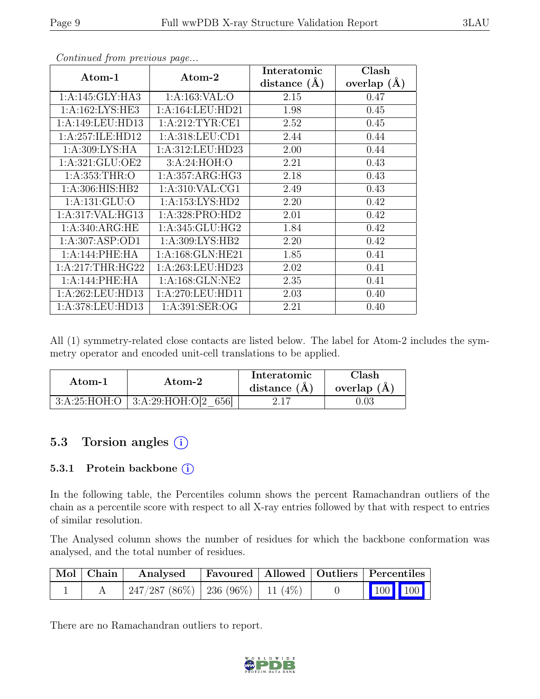| $\rm{Atom-1}$      | Atom-2             | Interatomic    | Clash           |
|--------------------|--------------------|----------------|-----------------|
|                    |                    | distance $(A)$ | overlap $(\AA)$ |
| 1:A:145:GLY:HA3    | 1:A:163:VAL:O      | 2.15           | 0.47            |
| 1:A:162:LYS:HE3    | 1:A:164:LEU:HD21   | 1.98           | 0.45            |
| 1:A:149:LEU:HD13   | 1:A:212:TYR:CE1    | 2.52           | 0.45            |
| 1:A:257:ILE:HD12   | 1: A:318: LEU: CD1 | 2.44           | 0.44            |
| 1: A:309: LYS: HA  | 1:A:312:LEU:HD23   | 2.00           | 0.44            |
| 1: A:321: GLU:OE2  | 3:A:24:HOH:O       | 2.21           | 0.43            |
| 1: A: 353: THR:O   | 1:A:357:ARG:HG3    | 2.18           | 0.43            |
| 1: A:306: HIS: HB2 | 1: A:310: VAL:CG1  | 2.49           | 0.43            |
| 1: A: 131: GLU: O  | 1:A:153:LYS:HD2    | 2.20           | 0.42            |
| 1:A:317:VAL:HG13   | 1:A:328:PRO:HD2    | 2.01           | 0.42            |
| 1: A:340: ARG: HE  | 1: A:345: GLU:HG2  | 1.84           | 0.42            |
| 1:A:307:ASP:OD1    | 1: A:309: LYS: HB2 | 2.20           | 0.42            |
| 1:A:144:PHE:HA     | 1:A:168:GLN:HE21   | 1.85           | 0.41            |
| 1: A:217:THR:HG22  | 1:A:263:LEU:HD23   | 2.02           | 0.41            |
| 1:A:144:PHE:HA     | 1:A:168:GLN:NE2    | 2.35           | 0.41            |
| 1:A:262:LEU:HD13   | 1:A:270:LEU:HD11   | 2.03           | 0.40            |
| 1:A:378:LEU:HD13   | 1: A:391: SER:OG   | 2.21           | 0.40            |

Continued from previous page...

All (1) symmetry-related close contacts are listed below. The label for Atom-2 includes the symmetry operator and encoded unit-cell translations to be applied.

| Atom-1       | Atom-2              | Interatomic<br>distance $(A)$ | Clash<br>overlap $(A)$ |
|--------------|---------------------|-------------------------------|------------------------|
| 3:A:25:HOH:O | 3:A:29:HOH:O[2 656] |                               |                        |

### 5.3 Torsion angles (i)

#### 5.3.1 Protein backbone (i)

In the following table, the Percentiles column shows the percent Ramachandran outliers of the chain as a percentile score with respect to all X-ray entries followed by that with respect to entries of similar resolution.

The Analysed column shows the number of residues for which the backbone conformation was analysed, and the total number of residues.

| $\vert$ Mol $\vert$ Chain $\vert$ | Analysed   Favoured   Allowed   Outliers   Percentiles |  |  |                                                                                                                                                                                |
|-----------------------------------|--------------------------------------------------------|--|--|--------------------------------------------------------------------------------------------------------------------------------------------------------------------------------|
|                                   | $247/287 (86\%)$   236 (96\%)   11 (4\%)               |  |  | $\begin{array}{ c c c c c }\n\hline\n\multicolumn{1}{ c }{\hspace{1.2cm}100} & \multicolumn{1}{ c }{\hspace{1.2cm}100} & \multicolumn{1}{ c }{\hspace{1.2cm}100}\n\end{array}$ |

There are no Ramachandran outliers to report.

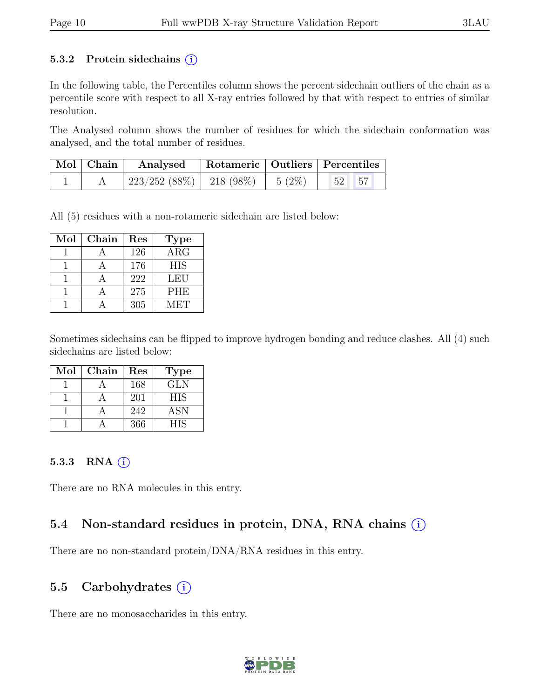#### 5.3.2 Protein sidechains  $(i)$

In the following table, the Percentiles column shows the percent sidechain outliers of the chain as a percentile score with respect to all X-ray entries followed by that with respect to entries of similar resolution.

The Analysed column shows the number of residues for which the sidechain conformation was analysed, and the total number of residues.

| $\mid$ Mol $\mid$ Chain $\mid$ | Analysed   Rotameric   Outliers   Percentiles     |  |  |  |
|--------------------------------|---------------------------------------------------|--|--|--|
|                                | $223/252$ (88\%)   218 (98\%)   5 (2\%)   52   57 |  |  |  |

All (5) residues with a non-rotameric sidechain are listed below:

| Mol | Chain | Res | <b>Type</b>             |
|-----|-------|-----|-------------------------|
|     |       | 126 | $\overline{\text{ARG}}$ |
|     |       | 176 | <b>HIS</b>              |
|     |       | 222 | <b>LEU</b>              |
|     |       | 275 | <b>PHE</b>              |
|     |       | 305 | MET                     |

Sometimes sidechains can be flipped to improve hydrogen bonding and reduce clashes. All (4) such sidechains are listed below:

| Mol | Chain | Res | <b>Type</b> |
|-----|-------|-----|-------------|
|     |       | 168 | GLN         |
|     |       | 201 | <b>HIS</b>  |
|     |       | 242 | <b>ASN</b>  |
|     |       | 366 | HIS         |

#### 5.3.3 RNA  $(i)$

There are no RNA molecules in this entry.

### 5.4 Non-standard residues in protein, DNA, RNA chains  $\circ$

There are no non-standard protein/DNA/RNA residues in this entry.

#### 5.5 Carbohydrates  $(i)$

There are no monosaccharides in this entry.

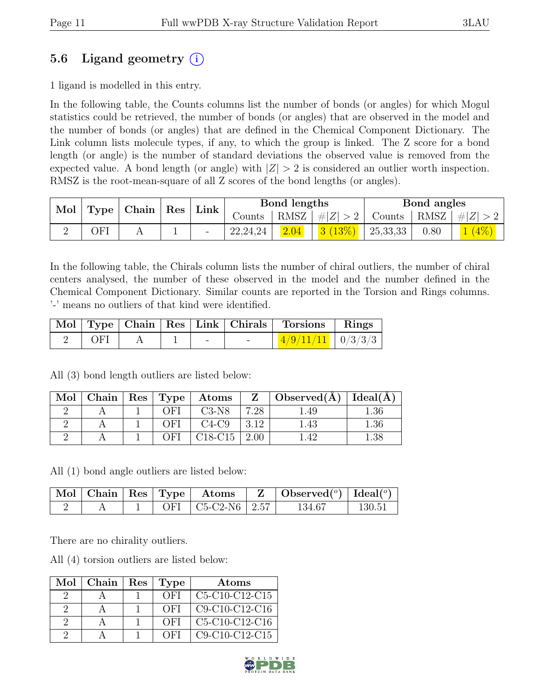## 5.6 Ligand geometry  $(i)$

1 ligand is modelled in this entry.

In the following table, the Counts columns list the number of bonds (or angles) for which Mogul statistics could be retrieved, the number of bonds (or angles) that are observed in the model and the number of bonds (or angles) that are defined in the Chemical Component Dictionary. The Link column lists molecule types, if any, to which the group is linked. The Z score for a bond length (or angle) is the number of standard deviations the observed value is removed from the expected value. A bond length (or angle) with  $|Z| > 2$  is considered an outlier worth inspection. RMSZ is the root-mean-square of all Z scores of the bond lengths (or angles).

| Mol | $\vert$ Type   Chain   Res |  | Link | Bond lengths |            |      | Bond angles         |               |      |         |
|-----|----------------------------|--|------|--------------|------------|------|---------------------|---------------|------|---------|
|     |                            |  |      |              | Counts     |      | $ RMSZ  \#  Z  > 2$ | Counts   RMSZ |      | $\# Z $ |
|     | ЭFI                        |  |      |              | 22, 24, 24 | 2.04 | 3(13%)              | 25,33,33      | 0.80 | $(4\%)$ |

In the following table, the Chirals column lists the number of chiral outliers, the number of chiral centers analysed, the number of these observed in the model and the number defined in the Chemical Component Dictionary. Similar counts are reported in the Torsion and Rings columns. '-' means no outliers of that kind were identified.

|                                                       |  |                          |                          | Mol   Type   Chain   Res   Link   Chirals   Torsions   Rings |  |
|-------------------------------------------------------|--|--------------------------|--------------------------|--------------------------------------------------------------|--|
| $\overline{\phantom{a}}$ OF1 $\overline{\phantom{a}}$ |  | $\overline{\phantom{0}}$ | $\overline{\phantom{0}}$ | $\frac{4}{9}/\frac{11}{11}$   0/3/3/3                        |  |

All (3) bond length outliers are listed below:

| Mol | Chain   $\text{Res}$   $\text{Type}$ |        | Atoms   |      | $\overline{Z}$   Observed(A) | $\vert$ Ideal( $\AA$ ) |
|-----|--------------------------------------|--------|---------|------|------------------------------|------------------------|
|     |                                      | . ) ET | $C3-N8$ | 7.28 | .49                          | 1.36                   |
|     |                                      | ∩FI    | $C4-C9$ | 3.12 | 1.43                         | 1.36                   |
|     |                                      | ЭFI    | C18-C15 |      | $\Lambda$ <sup>.</sup>       | 1.38                   |

All (1) bond angle outliers are listed below:

|  |     | $\parallel$ Mol $\parallel$ Chain $\parallel$ Res $\parallel$ Type $\parallel$ Atoms | $\bullet$ Observed( <sup>o</sup> )   Ideal( <sup>o</sup> ) |                 |
|--|-----|--------------------------------------------------------------------------------------|------------------------------------------------------------|-----------------|
|  | OFI | $\mid$ C <sub>5</sub> -C <sub>2</sub> -N <sub>6</sub> $\mid$ 2.57                    | 134.67                                                     | $130.5^{\circ}$ |

There are no chirality outliers.

All (4) torsion outliers are listed below:

| Mol      | Chain | Res   Type | Atoms            |
|----------|-------|------------|------------------|
| ')       |       | OFI        | $C5-C10-C12-C15$ |
| 9        |       | OFI        | $C9-C10-C12-C16$ |
| $\Omega$ |       | OFI        | $C5-C10-C12-C16$ |
|          |       | OFI        | $C9-C10-C12-C15$ |

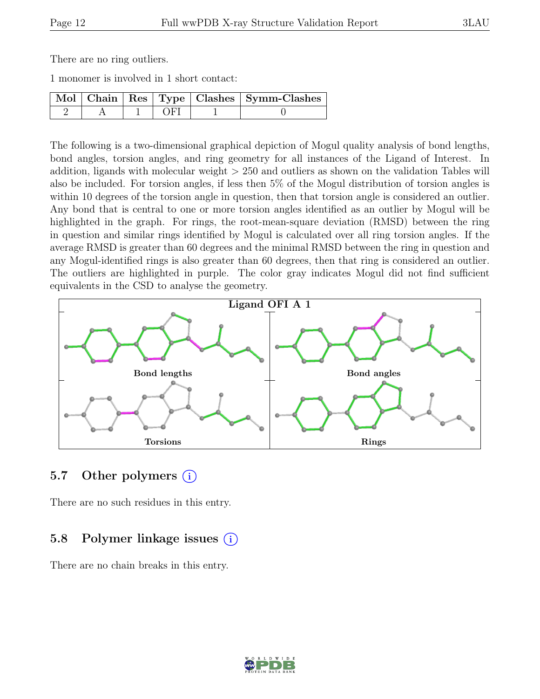There are no ring outliers.

1 monomer is involved in 1 short contact:

|  |     | Mol   Chain   Res   Type   Clashes   Symm-Clashes |
|--|-----|---------------------------------------------------|
|  | OF1 |                                                   |

The following is a two-dimensional graphical depiction of Mogul quality analysis of bond lengths, bond angles, torsion angles, and ring geometry for all instances of the Ligand of Interest. In addition, ligands with molecular weight > 250 and outliers as shown on the validation Tables will also be included. For torsion angles, if less then 5% of the Mogul distribution of torsion angles is within 10 degrees of the torsion angle in question, then that torsion angle is considered an outlier. Any bond that is central to one or more torsion angles identified as an outlier by Mogul will be highlighted in the graph. For rings, the root-mean-square deviation (RMSD) between the ring in question and similar rings identified by Mogul is calculated over all ring torsion angles. If the average RMSD is greater than 60 degrees and the minimal RMSD between the ring in question and any Mogul-identified rings is also greater than 60 degrees, then that ring is considered an outlier. The outliers are highlighted in purple. The color gray indicates Mogul did not find sufficient equivalents in the CSD to analyse the geometry.



#### 5.7 Other polymers (i)

There are no such residues in this entry.

### 5.8 Polymer linkage issues (i)

There are no chain breaks in this entry.

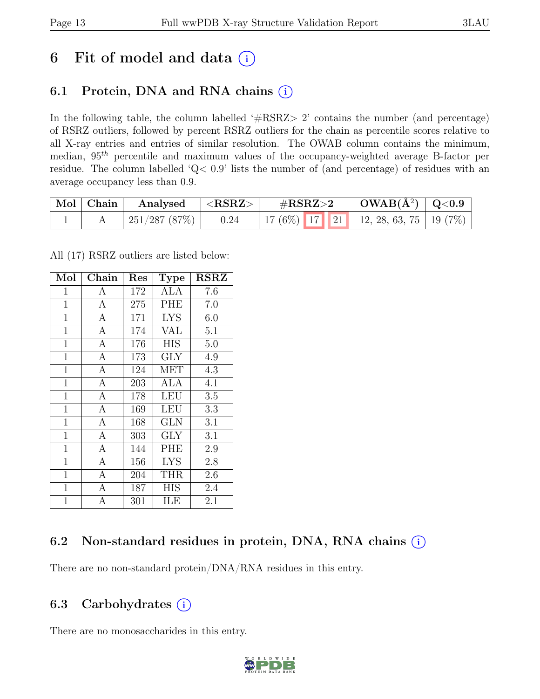# 6 Fit of model and data  $(i)$

# 6.1 Protein, DNA and RNA chains  $(i)$

In the following table, the column labelled ' $\#\text{RSRZ}>2$ ' contains the number (and percentage) of RSRZ outliers, followed by percent RSRZ outliers for the chain as percentile scores relative to all X-ray entries and entries of similar resolution. The OWAB column contains the minimum, median,  $95<sup>th</sup>$  percentile and maximum values of the occupancy-weighted average B-factor per residue. The column labelled 'Q< 0.9' lists the number of (and percentage) of residues with an average occupancy less than 0.9.

| $\mid$ Mol $\mid$ Chain | Analysed $ \langle \text{RSRZ}\rangle$ | $\#\text{RSRZ}\text{>2}$                     | $\mid$ OWAB(Å <sup>2</sup> ) $\mid$ Q<0.9 |  |
|-------------------------|----------------------------------------|----------------------------------------------|-------------------------------------------|--|
|                         | 251/287 (87%)   0.24                   | 17 (6%)   17   21   12, 28, 63, 75   19 (7%) |                                           |  |

All (17) RSRZ outliers are listed below:

| Mol            | Chain          | $\operatorname{Res}% \left( \mathcal{N}\right) \equiv\operatorname{Res}(\mathcal{N}_{0},\mathcal{N}_{0})$ | <b>Type</b> | <b>RSRZ</b> |
|----------------|----------------|-----------------------------------------------------------------------------------------------------------|-------------|-------------|
| $\mathbf 1$    | А              | 172                                                                                                       | <b>ALA</b>  | 7.6         |
| 1              | A              | 275                                                                                                       | PHE         | 7.0         |
| $\mathbf 1$    | А              | 171                                                                                                       | <b>LYS</b>  | 6.0         |
| $\mathbf{1}$   | $\overline{A}$ | 174                                                                                                       | VAL         | 5.1         |
| $\mathbf{1}$   | $\overline{A}$ | $\overline{1}76$                                                                                          | <b>HIS</b>  | 5.0         |
| $\mathbf 1$    | $\overline{A}$ | 173                                                                                                       | <b>GLY</b>  | 4.9         |
| $\mathbf 1$    | $\overline{A}$ | 124                                                                                                       | MET         | 4.3         |
| $\mathbf{1}$   | $\overline{A}$ | 203                                                                                                       | ALA         | 4.1         |
| $\mathbf 1$    | $\overline{A}$ | 178                                                                                                       | LEU         | 3.5         |
| $\overline{1}$ | A              | 169                                                                                                       | LEU         | 3.3         |
| $\mathbf 1$    | A              | 168                                                                                                       | <b>GLN</b>  | 3.1         |
| $\mathbf{1}$   | A              | 303                                                                                                       | GLY         | 3.1         |
| $\overline{1}$ | $\mathbf{A}$   | 144                                                                                                       | PHE         | 2.9         |
| $\mathbf 1$    | $\mathbf{A}$   | 156                                                                                                       | <b>LYS</b>  | 2.8         |
| $\overline{1}$ | $\overline{A}$ | 204                                                                                                       | <b>THR</b>  | 2.6         |
| $\mathbf 1$    | $\mathbf{A}$   | 187                                                                                                       | HIS         | 2.4         |
| $\overline{1}$ | $\overline{A}$ | 301                                                                                                       | ILE         | 2.1         |

### 6.2 Non-standard residues in protein, DNA, RNA chains  $(i)$

There are no non-standard protein/DNA/RNA residues in this entry.

### 6.3 Carbohydrates  $(i)$

There are no monosaccharides in this entry.